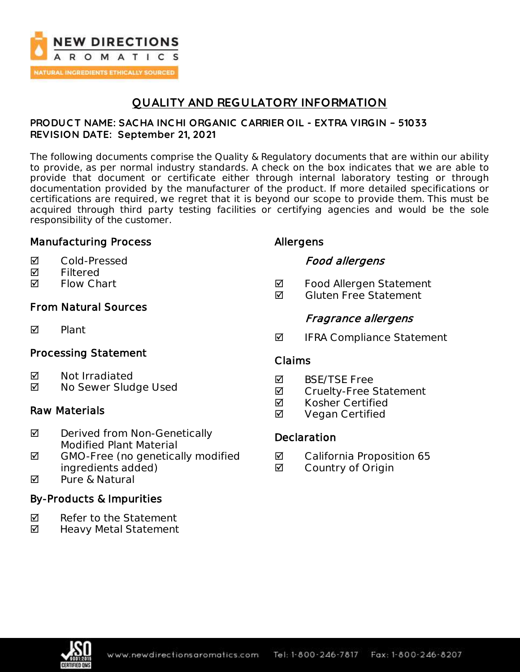

## **QUALITY AND REGULATORY INFORMATION**

#### **PRODUC T NAME: SAC HA INC HI ORGANIC C ARRIER OIL - EXTRA VIRGIN – 51033 REVISION DATE: September 21, 2021**

The following documents comprise the Quality & Regulatory documents that are within our ability to provide, as per normal industry standards. A check on the box indicates that we are able to provide that document or certificate either through internal laboratory testing or through documentation provided by the manufacturer of the product. If more detailed specifications or certifications are required, we regret that it is beyond our scope to provide them. This must be acquired through third party testing facilities or certifying agencies and would be the sole responsibility of the customer.

### Manufacturing Process

- Cold-Pressed
- **Ø** Filtered
- **Ø** Flow Chart

## From Natural Sources

**M** Plant

## Processing Statement

- **Ø** Not Irradiated
- **Ø** No Sewer Sludge Used

### Raw Materials

- **Ø** Derived from Non-Genetically Modified Plant Material
- $\boxtimes$  GMO-Free (no genetically modified ingredients added)
- **M** Pure & Natural

## By-Products & Impurities

- $\nabla$  Refer to the Statement
- ◘ Heavy Metal Statement

## Allergens

### Food allergens

- **Ø** Food Allergen Statement
- $\blacksquare$  Gluten Free Statement

## Fragrance allergens

 $\blacksquare$  IFRA Compliance Statement

### Claims

- **M** BSF/TSF Free
- **Ø** Cruelty-Free Statement
- **Ø** Kosher Certified
- **Ø** Vegan Certified

## **Declaration**

- **Ø** California Proposition 65
- **Ø** Country of Origin

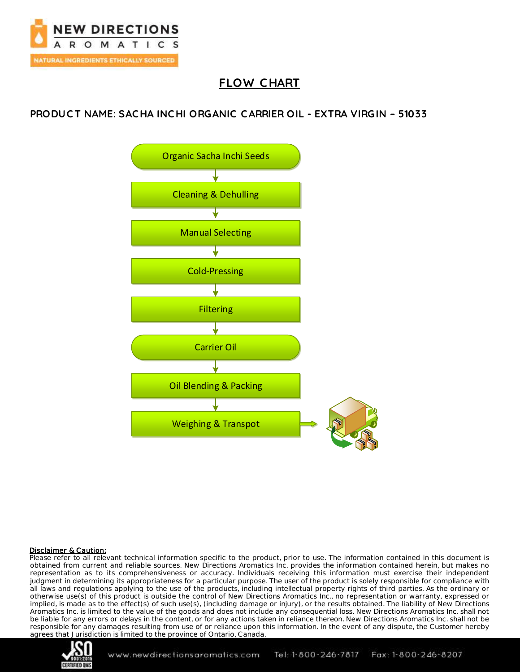

# **FLOW C HART**

## **PRODUC T NAME: SAC HA INC HI ORGANIC C ARRIER OIL - EXTRA VIRGIN – 51033**



#### Disclaimer & Caution:

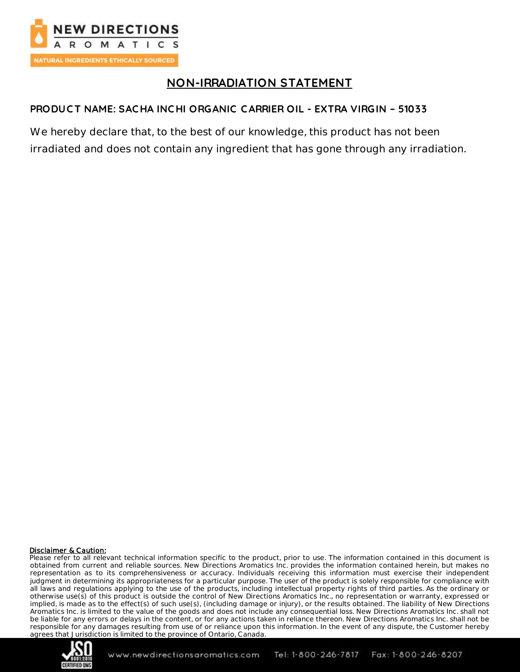

# **NON-IRRADIATION STATEMENT**

### **PRODUCT NAME: SAC HA INC HI ORGANIC C ARRIER OIL - EXTRA VIRGIN – 51033**

We hereby declare that, to the best of our knowledge, this product has not been irradiated and does not contain any ingredient that has gone through any irradiation.

#### Disclaimer & Caution:

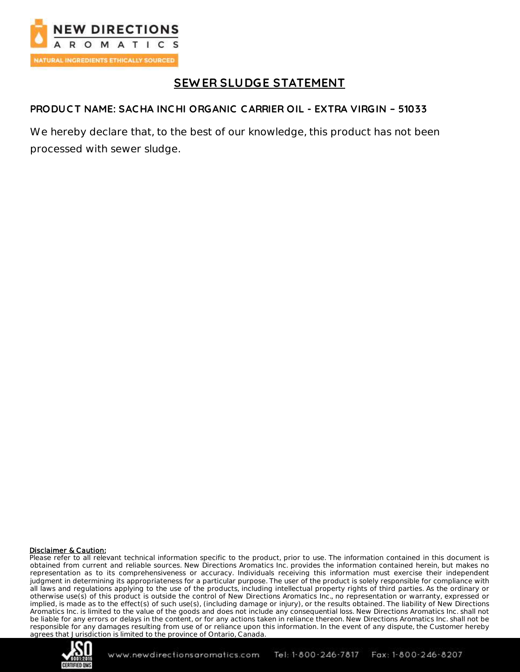

# **SEW ER SLUDGE STATEMENT**

### **PRODUC T NAME: SAC HA INC HI ORGANIC C ARRIER OIL - EXTRA VIRGIN – 51033**

We hereby declare that, to the best of our knowledge, this product has not been processed with sewer sludge.

#### Disclaimer & Caution:

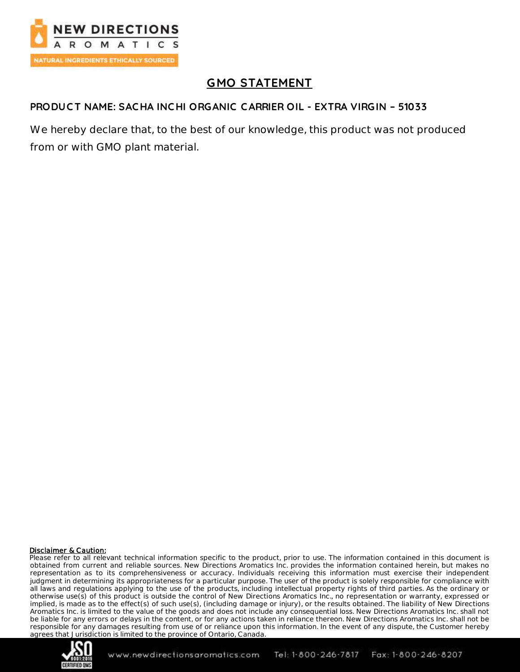

# **GMO STATEMENT**

### **PRODUC T NAME: SAC HA INC HI ORGANIC C ARRIER OIL - EXTRA VIRGIN – 51033**

We hereby declare that, to the best of our knowledge, this product was not produced from or with GMO plant material.

#### Disclaimer & Caution:

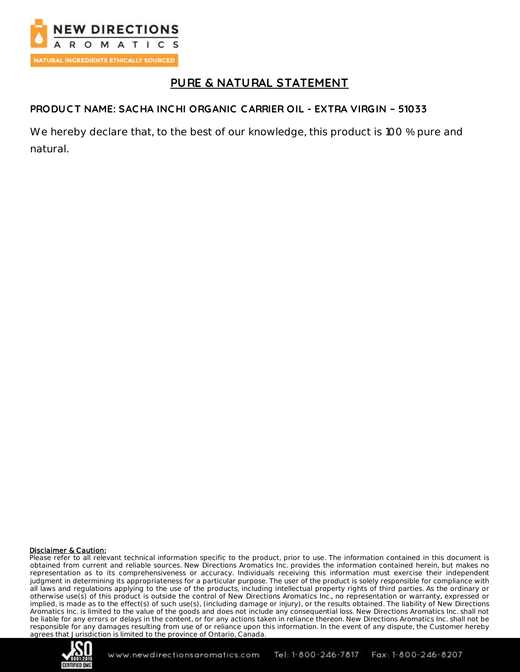

# **PURE & NATURAL STATEMENT**

### **PRODUC T NAME: SAC HA INC HI ORGANIC C ARRIER OIL - EXTRA VIRGIN – 51033**

We hereby declare that, to the best of our knowledge, this product is 100 % pure and natural.

#### Disclaimer & Caution:

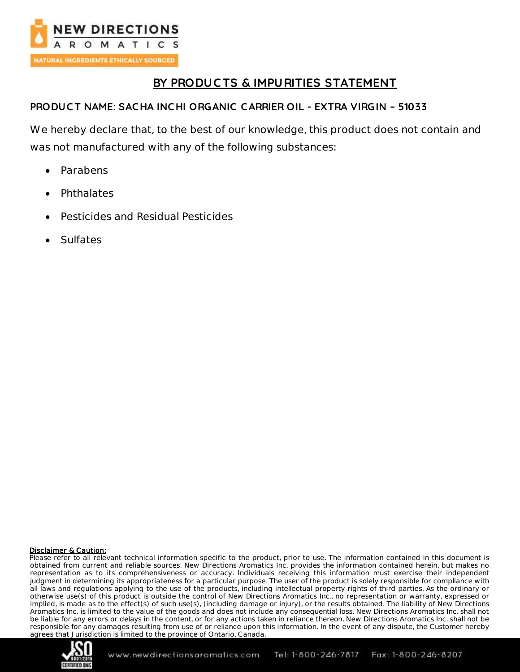

## **BY PRODUC TS & IMPURITIES STATEMENT**

### **PRODUC T NAME: SAC HA INC HI ORGANIC C ARRIER OIL - EXTRA VIRGIN – 51033**

We hereby declare that, to the best of our knowledge, this product does not contain and was not manufactured with any of the following substances:

- Parabens
- Phthalates
- Pesticides and Residual Pesticides
- Sulfates

#### Disclaimer & Caution:

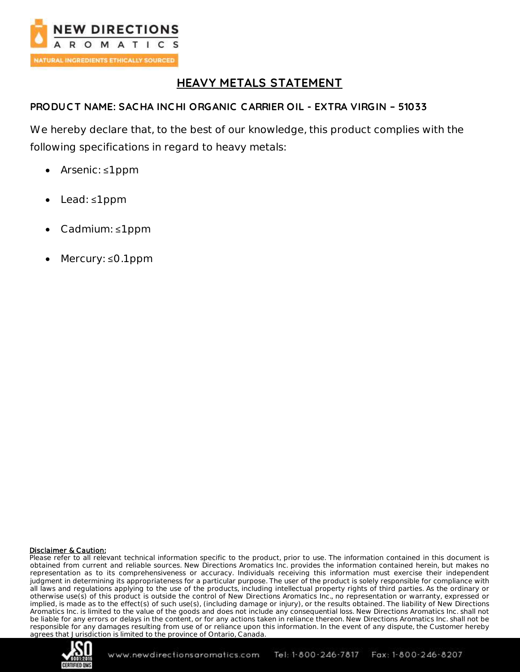

# **HEAVY METALS STATEMENT**

### **PRODUC T NAME: SAC HA INC HI ORGANIC C ARRIER OIL - EXTRA VIRGIN – 51033**

We hereby declare that, to the best of our knowledge, this product complies with the following specifications in regard to heavy metals:

- Arsenic: ≤1 ppm
- Lead: ≤1 ppm
- Cadmium: ≤1 ppm
- Mercury: ≤0.1 ppm

#### Disclaimer & Caution:

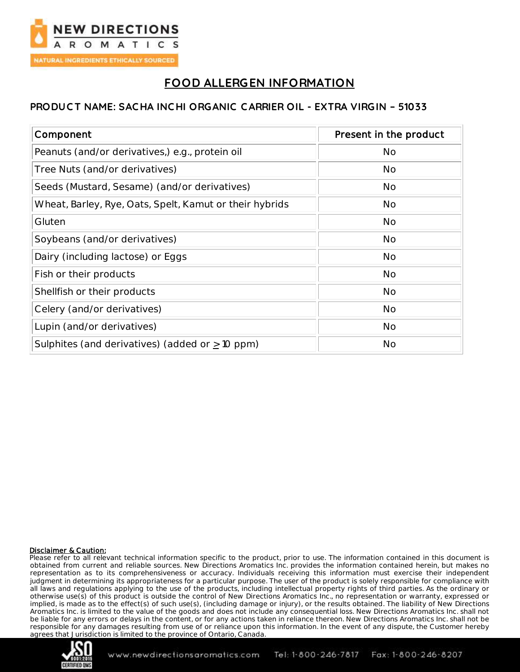

# **FOOD ALLERGEN INFORMATION**

### **PRODUC T NAME: SAC HA INC HI ORGANIC C ARRIER OIL - EXTRA VIRGIN – 51033**

| Component                                               | Present in the product |
|---------------------------------------------------------|------------------------|
| Peanuts (and/or derivatives,) e.g., protein oil         | <b>No</b>              |
| Tree Nuts (and/or derivatives)                          | No                     |
| Seeds (Mustard, Sesame) (and/or derivatives)            | No                     |
| Wheat, Barley, Rye, Oats, Spelt, Kamut or their hybrids | No                     |
| Gluten                                                  | No                     |
| Soybeans (and/or derivatives)                           | <b>No</b>              |
| Dairy (including lactose) or Eggs                       | <b>No</b>              |
| Fish or their products                                  | <b>No</b>              |
| Shellfish or their products                             | <b>No</b>              |
| Celery (and/or derivatives)                             | No                     |
| Lupin (and/or derivatives)                              | No                     |
| Sulphites (and derivatives) (added or $\geq$ 10 ppm)    | No                     |

#### Disclaimer & Caution:

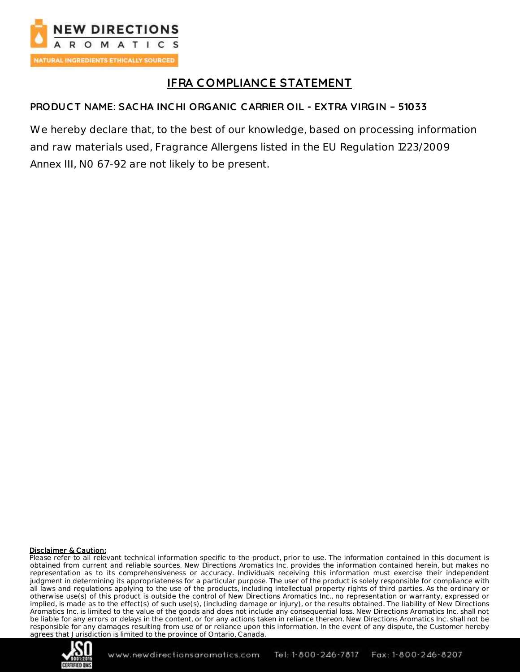

# **IFRA C OMPLIANCE STATEMENT**

### **PRODUC T NAME: SAC HA INC HI ORGANIC C ARRIER OIL - EXTRA VIRGIN – 51033**

We hereby declare that, to the best of our knowledge, based on processing information and raw materials used, Fragrance Allergens listed in the EU Regulation 1223/2009 Annex III, N0 67-92 are not likely to be present.

#### Disclaimer & Caution:

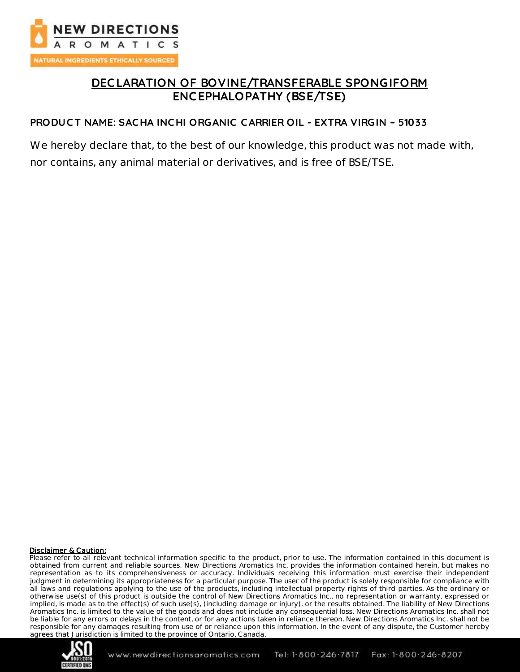

## **DEC LARATION OF BOVINE/TRANSFERABLE SPONGIFORM ENC EPHALOPATHY (BSE/TSE)**

#### **PRODUC T NAME: SAC HA INC HI ORGANIC C ARRIER OIL - EXTRA VIRGIN – 51033**

We hereby declare that, to the best of our knowledge, this product was not made with, nor contains, any animal material or derivatives, and is free of BSE/TSE.

#### Disclaimer & Caution:

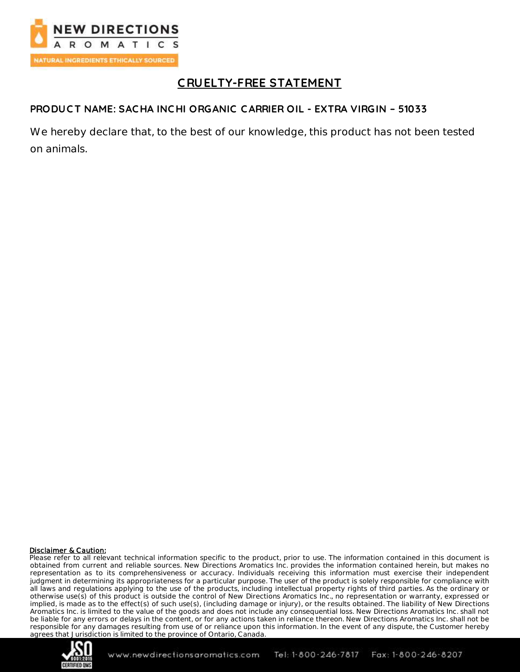

# **C RUELTY-FREE STATEMENT**

### **PRODUC T NAME: SAC HA INC HI ORGANIC C ARRIER OIL - EXTRA VIRGIN – 51033**

We hereby declare that, to the best of our knowledge, this product has not been tested on animals.

#### Disclaimer & Caution:

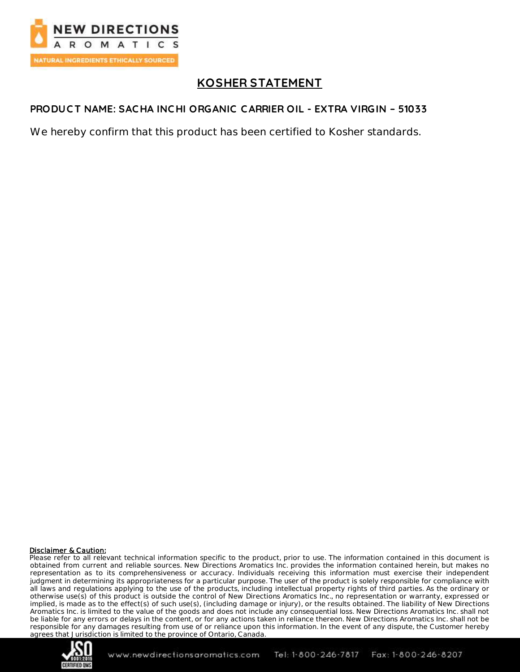

# **KOSHER STATEMENT**

### **PRODUC T NAME: SAC HA INC HI ORGANIC C ARRIER OIL - EXTRA VIRGIN – 51033**

We hereby confirm that this product has been certified to Kosher standards.

#### Disclaimer & Caution:

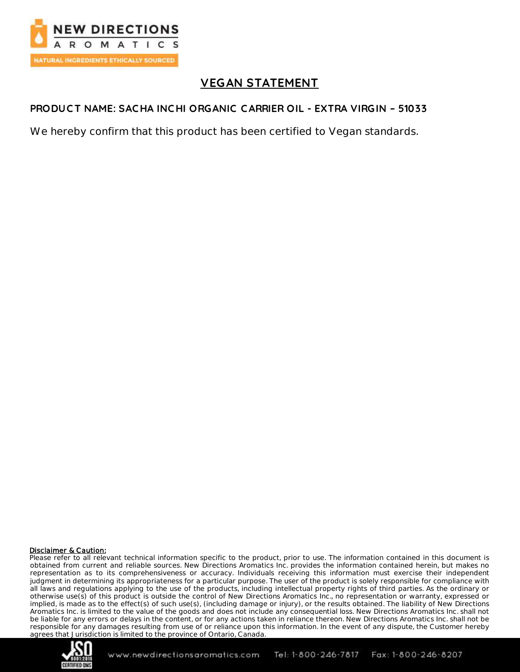

# **VEGAN STATEMENT**

### **PRODUC T NAME: SAC HA INC HI ORGANIC C ARRIER OIL - EXTRA VIRGIN – 51033**

We hereby confirm that this product has been certified to Vegan standards.

#### Disclaimer & Caution:

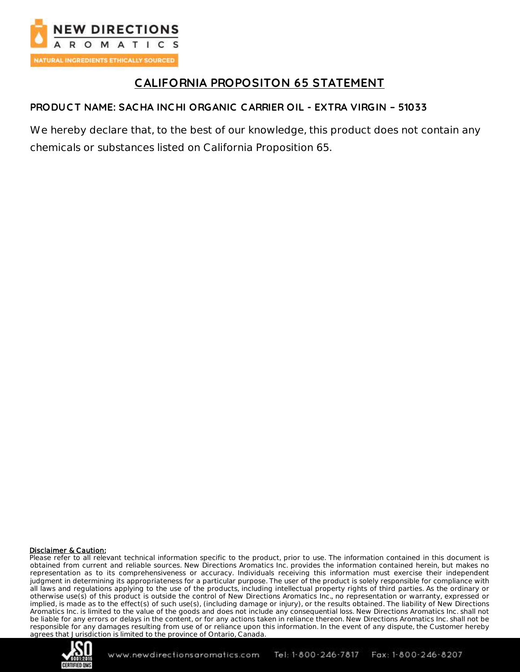

# **CALIFORNIA PROPOSITON 65 STATEMENT**

## **PRODUC T NAME: SAC HA INC HI ORGANIC C ARRIER OIL - EXTRA VIRGIN – 51033**

We hereby declare that, to the best of our knowledge, this product does not contain any chemicals or substances listed on California Proposition 65.

#### Disclaimer & Caution: